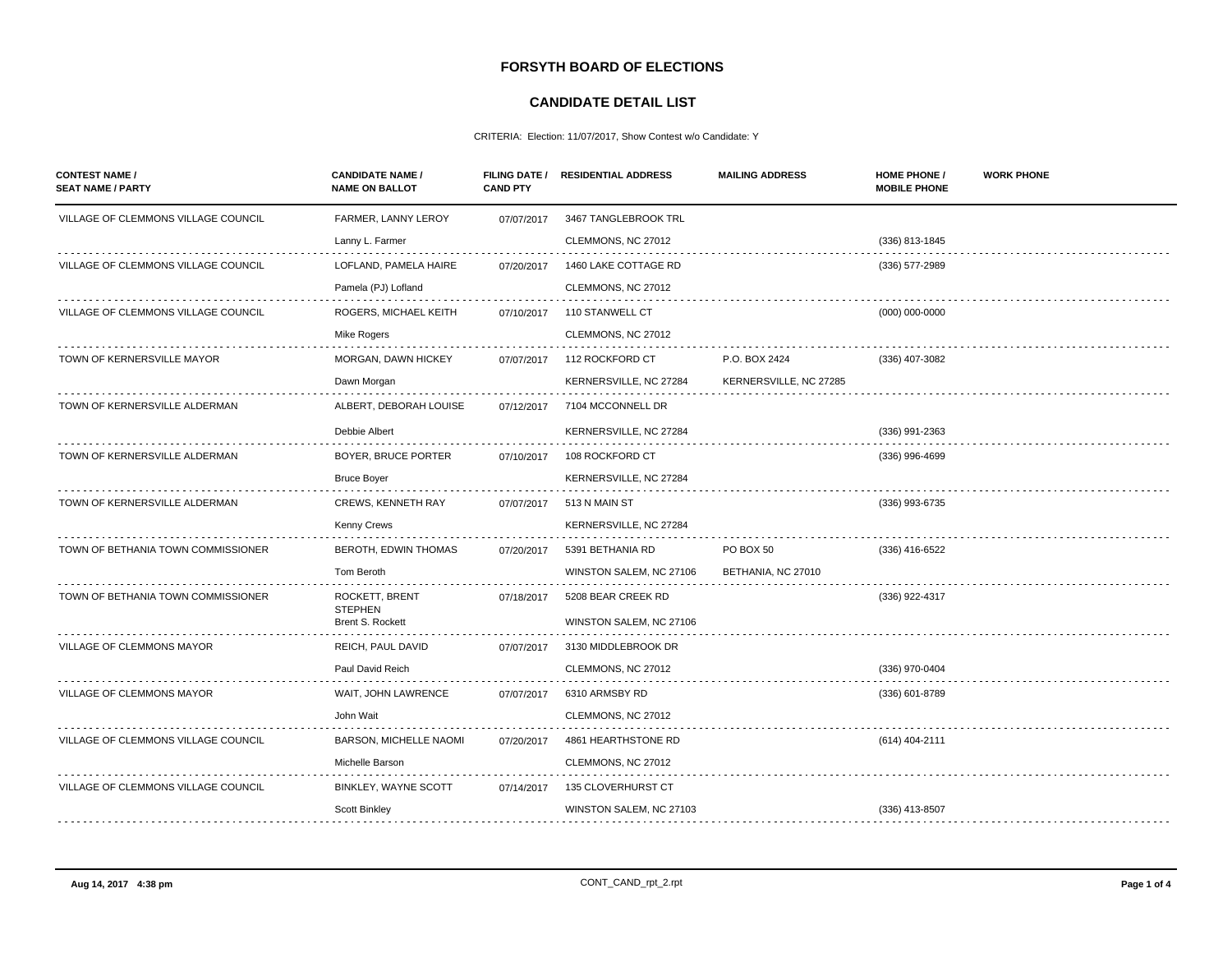## **FORSYTH BOARD OF ELECTIONS**

## **CANDIDATE DETAIL LIST**

CRITERIA: Election: 11/07/2017, Show Contest w/o Candidate: Y

| <b>CONTEST NAME /</b><br><b>SEAT NAME / PARTY</b> | <b>CANDIDATE NAME /</b><br><b>NAME ON BALLOT</b> | <b>CAND PTY</b> | FILING DATE / RESIDENTIAL ADDRESS | <b>MAILING ADDRESS</b> | <b>HOME PHONE /</b><br><b>MOBILE PHONE</b> | <b>WORK PHONE</b> |
|---------------------------------------------------|--------------------------------------------------|-----------------|-----------------------------------|------------------------|--------------------------------------------|-------------------|
| VILLAGE OF CLEMMONS VILLAGE COUNCIL               | FARMER, LANNY LEROY                              | 07/07/2017      | 3467 TANGLEBROOK TRL              |                        |                                            |                   |
|                                                   | Lanny L. Farmer                                  |                 | CLEMMONS, NC 27012                |                        | (336) 813-1845                             |                   |
| VILLAGE OF CLEMMONS VILLAGE COUNCIL               | LOFLAND, PAMELA HAIRE                            | 07/20/2017      | 1460 LAKE COTTAGE RD              |                        | (336) 577-2989                             |                   |
|                                                   | Pamela (PJ) Lofland                              |                 | CLEMMONS, NC 27012                |                        |                                            |                   |
| VILLAGE OF CLEMMONS VILLAGE COUNCIL               | ROGERS, MICHAEL KEITH                            | 07/10/2017      | 110 STANWELL CT                   |                        | $(000)$ 000-0000                           |                   |
|                                                   | Mike Rogers                                      |                 | CLEMMONS, NC 27012                |                        |                                            |                   |
| TOWN OF KERNERSVILLE MAYOR                        | MORGAN, DAWN HICKEY                              | 07/07/2017      | 112 ROCKFORD CT                   | P.O. BOX 2424          | (336) 407-3082                             |                   |
|                                                   | Dawn Morgan                                      |                 | KERNERSVILLE, NC 27284            | KERNERSVILLE, NC 27285 |                                            |                   |
| TOWN OF KERNERSVILLE ALDERMAN                     | ALBERT, DEBORAH LOUISE                           | 07/12/2017      | 7104 MCCONNELL DR                 |                        |                                            |                   |
|                                                   | Debbie Albert                                    |                 | KERNERSVILLE, NC 27284            |                        | $(336)$ 991-2363                           |                   |
| TOWN OF KERNERSVILLE ALDERMAN                     | BOYER, BRUCE PORTER                              | 07/10/2017      | 108 ROCKFORD CT                   |                        | (336) 996-4699                             |                   |
|                                                   | <b>Bruce Boyer</b>                               |                 | KERNERSVILLE, NC 27284            |                        |                                            |                   |
| TOWN OF KERNERSVILLE ALDERMAN                     | <b>CREWS, KENNETH RAY</b>                        | 07/07/2017      | 513 N MAIN ST                     |                        | (336) 993-6735                             |                   |
|                                                   | Kenny Crews                                      |                 | KERNERSVILLE, NC 27284            |                        |                                            |                   |
| TOWN OF BETHANIA TOWN COMMISSIONER                | BEROTH, EDWIN THOMAS                             | 07/20/2017      | 5391 BETHANIA RD                  | PO BOX 50              | (336) 416-6522                             |                   |
|                                                   | Tom Beroth                                       |                 | WINSTON SALEM, NC 27106           | BETHANIA, NC 27010     |                                            |                   |
| TOWN OF BETHANIA TOWN COMMISSIONER                | ROCKETT, BRENT                                   | 07/18/2017      | 5208 BEAR CREEK RD                |                        | (336) 922-4317                             |                   |
|                                                   | <b>STEPHEN</b><br><b>Brent S. Rockett</b>        |                 | WINSTON SALEM, NC 27106           |                        |                                            |                   |
| VILLAGE OF CLEMMONS MAYOR                         | REICH, PAUL DAVID                                | 07/07/2017      | 3130 MIDDLEBROOK DR               |                        |                                            |                   |
|                                                   | Paul David Reich                                 |                 | CLEMMONS, NC 27012                |                        | (336) 970-0404                             |                   |
| VILLAGE OF CLEMMONS MAYOR                         | WAIT, JOHN LAWRENCE                              | 07/07/2017      | 6310 ARMSBY RD                    |                        | (336) 601-8789                             |                   |
|                                                   | John Wait                                        |                 | CLEMMONS, NC 27012                |                        |                                            |                   |
| VILLAGE OF CLEMMONS VILLAGE COUNCIL               | <b>BARSON, MICHELLE NAOMI</b>                    | 07/20/2017      | 4861 HEARTHSTONE RD               |                        | (614) 404-2111                             |                   |
|                                                   | Michelle Barson                                  |                 | CLEMMONS, NC 27012                |                        |                                            |                   |
| VILLAGE OF CLEMMONS VILLAGE COUNCIL               | BINKLEY, WAYNE SCOTT                             | 07/14/2017      | 135 CLOVERHURST CT                |                        |                                            |                   |
|                                                   | Scott Binkley                                    |                 | WINSTON SALEM, NC 27103           |                        | (336) 413-8507                             |                   |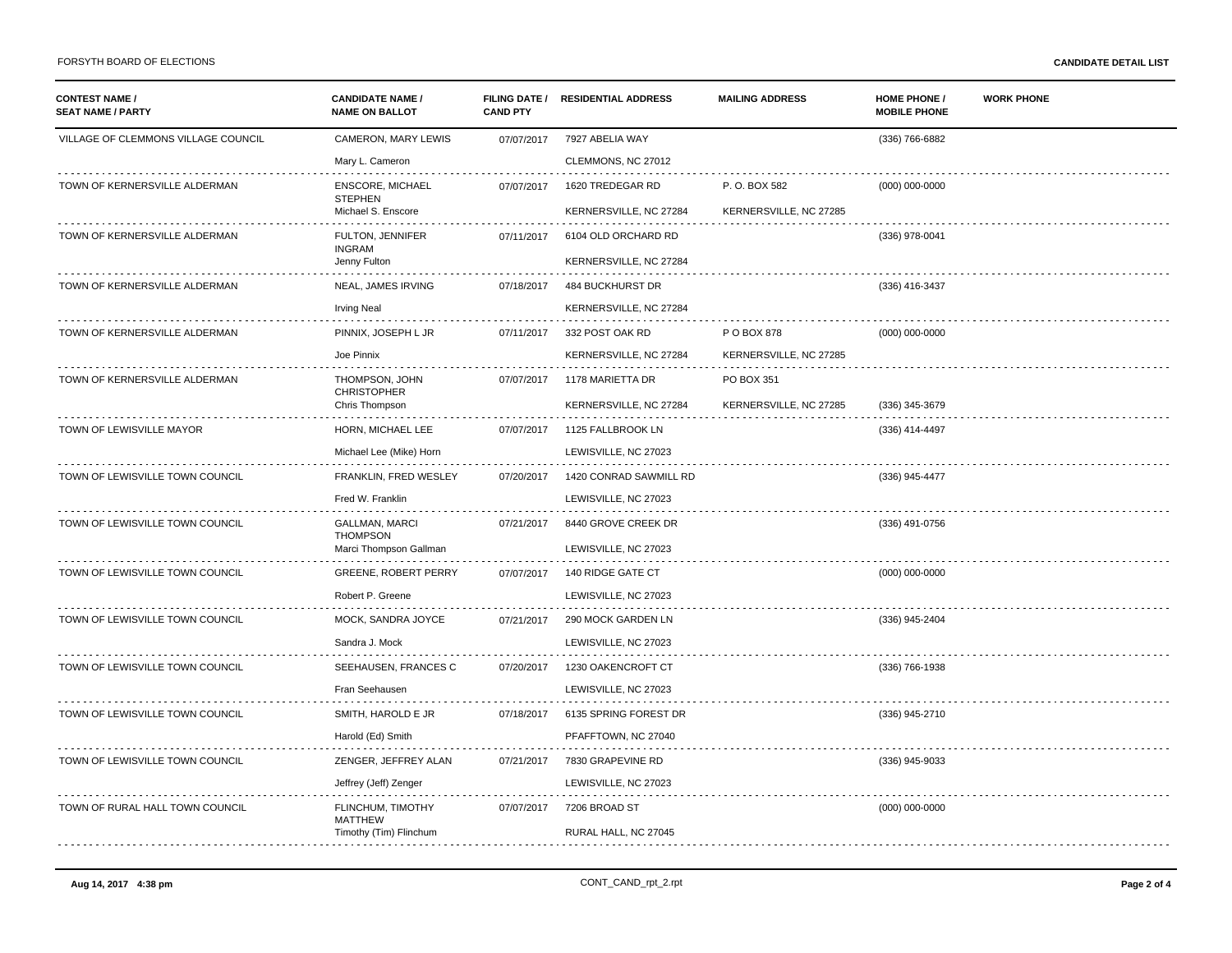| <b>CONTEST NAME /</b><br><b>SEAT NAME / PARTY</b> | <b>CANDIDATE NAME /</b><br><b>NAME ON BALLOT</b> | <b>CAND PTY</b> | FILING DATE / RESIDENTIAL ADDRESS | <b>MAILING ADDRESS</b> | <b>HOME PHONE /</b><br><b>MOBILE PHONE</b> | <b>WORK PHONE</b> |
|---------------------------------------------------|--------------------------------------------------|-----------------|-----------------------------------|------------------------|--------------------------------------------|-------------------|
| VILLAGE OF CLEMMONS VILLAGE COUNCIL               | CAMERON, MARY LEWIS                              | 07/07/2017      | 7927 ABELIA WAY                   |                        | (336) 766-6882                             |                   |
|                                                   | Mary L. Cameron                                  |                 | CLEMMONS, NC 27012                |                        |                                            |                   |
| TOWN OF KERNERSVILLE ALDERMAN                     | <b>ENSCORE, MICHAEL</b>                          | 07/07/2017      | 1620 TREDEGAR RD                  | P.O. BOX 582           | $(000) 000 - 0000$                         |                   |
|                                                   | <b>STEPHEN</b><br>Michael S. Enscore             |                 | KERNERSVILLE, NC 27284            | KERNERSVILLE, NC 27285 |                                            |                   |
| TOWN OF KERNERSVILLE ALDERMAN                     | FULTON, JENNIFER                                 | 07/11/2017      | 6104 OLD ORCHARD RD               |                        | (336) 978-0041                             |                   |
|                                                   | <b>INGRAM</b><br>Jenny Fulton                    |                 | KERNERSVILLE, NC 27284            |                        |                                            |                   |
| TOWN OF KERNERSVILLE ALDERMAN                     | NEAL, JAMES IRVING                               | 07/18/2017      | <b>484 BUCKHURST DR</b>           |                        | (336) 416-3437                             |                   |
|                                                   | <b>Irving Neal</b>                               |                 | KERNERSVILLE, NC 27284            |                        |                                            |                   |
| TOWN OF KERNERSVILLE ALDERMAN                     | PINNIX, JOSEPH L JR                              | 07/11/2017      | 332 POST OAK RD                   | P O BOX 878            | $(000)$ 000-0000                           |                   |
|                                                   | Joe Pinnix                                       |                 | KERNERSVILLE, NC 27284            | KERNERSVILLE, NC 27285 |                                            |                   |
| TOWN OF KERNERSVILLE ALDERMAN                     | THOMPSON, JOHN<br><b>CHRISTOPHER</b>             | 07/07/2017      | 1178 MARIETTA DR                  | PO BOX 351             |                                            |                   |
|                                                   | Chris Thompson                                   |                 | KERNERSVILLE, NC 27284            | KERNERSVILLE, NC 27285 | (336) 345-3679                             |                   |
| TOWN OF LEWISVILLE MAYOR                          | HORN, MICHAEL LEE                                | 07/07/2017      | 1125 FALLBROOK LN                 |                        | (336) 414-4497                             |                   |
|                                                   | Michael Lee (Mike) Horn                          |                 | LEWISVILLE, NC 27023              |                        |                                            |                   |
| TOWN OF LEWISVILLE TOWN COUNCIL                   | FRANKLIN, FRED WESLEY                            | 07/20/2017      | 1420 CONRAD SAWMILL RD            |                        | (336) 945-4477                             |                   |
|                                                   | Fred W. Franklin                                 |                 | LEWISVILLE, NC 27023              |                        |                                            |                   |
| TOWN OF LEWISVILLE TOWN COUNCIL                   | <b>GALLMAN, MARCI</b><br><b>THOMPSON</b>         | 07/21/2017      | 8440 GROVE CREEK DR               |                        | (336) 491-0756                             |                   |
|                                                   | Marci Thompson Gallman                           |                 | LEWISVILLE, NC 27023              |                        |                                            |                   |
| TOWN OF LEWISVILLE TOWN COUNCIL                   | <b>GREENE, ROBERT PERRY</b>                      | 07/07/2017      | 140 RIDGE GATE CT                 |                        | $(000)$ 000-0000                           |                   |
|                                                   | Robert P. Greene                                 |                 | LEWISVILLE, NC 27023              |                        |                                            |                   |
| TOWN OF LEWISVILLE TOWN COUNCIL                   | MOCK, SANDRA JOYCE                               | 07/21/2017      | 290 MOCK GARDEN LN                |                        | (336) 945-2404                             |                   |
|                                                   | Sandra J. Mock                                   |                 | LEWISVILLE, NC 27023              |                        |                                            |                   |
| TOWN OF LEWISVILLE TOWN COUNCIL                   | SEEHAUSEN, FRANCES C                             | 07/20/2017      | 1230 OAKENCROFT CT                |                        | (336) 766-1938                             |                   |
|                                                   | Fran Seehausen                                   |                 | LEWISVILLE, NC 27023              |                        |                                            |                   |
| TOWN OF LEWISVILLE TOWN COUNCIL                   | SMITH, HAROLD E JR                               | 07/18/2017      | 6135 SPRING FOREST DR             |                        | (336) 945-2710                             |                   |
|                                                   | Harold (Ed) Smith                                |                 | PFAFFTOWN, NC 27040               |                        |                                            |                   |
| TOWN OF LEWISVILLE TOWN COUNCIL                   | ZENGER, JEFFREY ALAN                             | 07/21/2017      | 7830 GRAPEVINE RD                 |                        | (336) 945-9033                             |                   |
|                                                   | Jeffrey (Jeff) Zenger                            |                 | LEWISVILLE, NC 27023              |                        |                                            |                   |
| TOWN OF RURAL HALL TOWN COUNCIL                   | FLINCHUM, TIMOTHY<br><b>MATTHEW</b>              | 07/07/2017      | 7206 BROAD ST                     |                        | $(000)$ 000-0000                           |                   |
|                                                   | Timothy (Tim) Flinchum                           |                 | RURAL HALL, NC 27045              |                        |                                            |                   |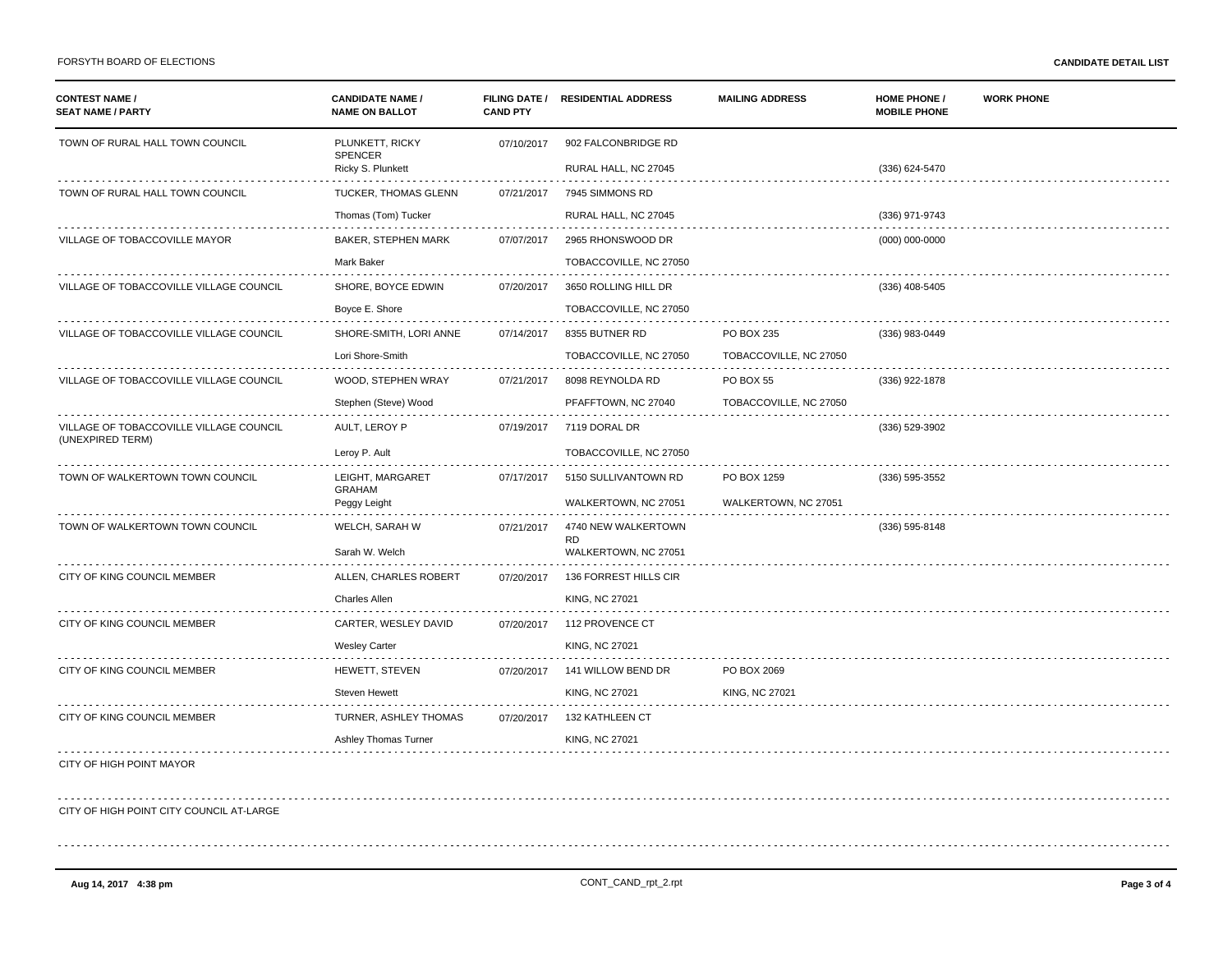| <b>CONTEST NAME /</b><br><b>SEAT NAME / PARTY</b> | <b>CANDIDATE NAME /</b><br><b>NAME ON BALLOT</b> | <b>CAND PTY</b> | FILING DATE / RESIDENTIAL ADDRESS | <b>MAILING ADDRESS</b> | <b>HOME PHONE /</b><br><b>MOBILE PHONE</b> | <b>WORK PHONE</b> |
|---------------------------------------------------|--------------------------------------------------|-----------------|-----------------------------------|------------------------|--------------------------------------------|-------------------|
| TOWN OF RURAL HALL TOWN COUNCIL                   | PLUNKETT, RICKY<br><b>SPENCER</b>                | 07/10/2017      | 902 FALCONBRIDGE RD               |                        |                                            |                   |
|                                                   | Ricky S. Plunkett                                |                 | RURAL HALL, NC 27045              |                        | (336) 624-5470                             |                   |
| TOWN OF RURAL HALL TOWN COUNCIL                   | <b>TUCKER, THOMAS GLENN</b>                      | 07/21/2017      | 7945 SIMMONS RD                   |                        |                                            |                   |
|                                                   | Thomas (Tom) Tucker                              |                 | RURAL HALL, NC 27045              |                        | (336) 971-9743                             |                   |
| VILLAGE OF TOBACCOVILLE MAYOR                     | BAKER, STEPHEN MARK                              | 07/07/2017      | 2965 RHONSWOOD DR                 |                        | $(000)$ 000-0000                           |                   |
|                                                   | Mark Baker                                       |                 | TOBACCOVILLE, NC 27050            |                        |                                            |                   |
| VILLAGE OF TOBACCOVILLE VILLAGE COUNCIL           | SHORE, BOYCE EDWIN                               | 07/20/2017      | 3650 ROLLING HILL DR              |                        | (336) 408-5405                             |                   |
|                                                   | Boyce E. Shore                                   |                 | TOBACCOVILLE, NC 27050            |                        |                                            |                   |
| VILLAGE OF TOBACCOVILLE VILLAGE COUNCIL           | SHORE-SMITH, LORI ANNE                           | 07/14/2017      | 8355 BUTNER RD                    | PO BOX 235             | (336) 983-0449                             |                   |
|                                                   | Lori Shore-Smith                                 |                 | TOBACCOVILLE, NC 27050            | TOBACCOVILLE, NC 27050 |                                            |                   |
| VILLAGE OF TOBACCOVILLE VILLAGE COUNCIL           | WOOD, STEPHEN WRAY                               | 07/21/2017      | 8098 REYNOLDA RD                  | <b>PO BOX 55</b>       | (336) 922-1878                             |                   |
|                                                   | Stephen (Steve) Wood                             |                 | PFAFFTOWN, NC 27040               | TOBACCOVILLE, NC 27050 |                                            |                   |
| VILLAGE OF TOBACCOVILLE VILLAGE COUNCIL           | AULT, LEROY P                                    | 07/19/2017      | 7119 DORAL DR                     |                        | (336) 529-3902                             |                   |
| (UNEXPIRED TERM)                                  | Leroy P. Ault                                    |                 | TOBACCOVILLE, NC 27050            |                        |                                            |                   |
| TOWN OF WALKERTOWN TOWN COUNCIL                   | LEIGHT, MARGARET                                 | 07/17/2017      | 5150 SULLIVANTOWN RD              | PO BOX 1259            | (336) 595-3552                             |                   |
|                                                   | <b>GRAHAM</b><br>Peggy Leight                    |                 | WALKERTOWN, NC 27051              | WALKERTOWN, NC 27051   |                                            |                   |
| TOWN OF WALKERTOWN TOWN COUNCIL                   | WELCH, SARAH W                                   | 07/21/2017      | 4740 NEW WALKERTOWN               |                        | (336) 595-8148                             |                   |
|                                                   | Sarah W. Welch                                   |                 | <b>RD</b><br>WALKERTOWN, NC 27051 |                        |                                            |                   |
| CITY OF KING COUNCIL MEMBER                       | ALLEN, CHARLES ROBERT                            | 07/20/2017      | 136 FORREST HILLS CIR             |                        |                                            |                   |
|                                                   | <b>Charles Allen</b>                             |                 | <b>KING, NC 27021</b>             |                        |                                            |                   |
| CITY OF KING COUNCIL MEMBER                       | CARTER, WESLEY DAVID                             | 07/20/2017      | 112 PROVENCE CT                   |                        |                                            |                   |
|                                                   | <b>Wesley Carter</b>                             |                 | KING, NC 27021                    |                        |                                            |                   |
| CITY OF KING COUNCIL MEMBER                       | HEWETT, STEVEN                                   | 07/20/2017      | 141 WILLOW BEND DR                | PO BOX 2069            |                                            |                   |
|                                                   | <b>Steven Hewett</b>                             |                 | <b>KING, NC 27021</b>             | <b>KING, NC 27021</b>  |                                            |                   |
| CITY OF KING COUNCIL MEMBER                       | TURNER, ASHLEY THOMAS                            | 07/20/2017      | 132 KATHLEEN CT                   |                        |                                            |                   |
|                                                   | Ashley Thomas Turner                             |                 | <b>KING, NC 27021</b>             |                        |                                            |                   |
| CITY OF HIGH POINT MAYOR                          |                                                  |                 |                                   |                        |                                            |                   |
| CITY OF HIGH POINT CITY COUNCIL AT-LARGE          |                                                  |                 |                                   |                        |                                            |                   |
|                                                   |                                                  |                 |                                   |                        |                                            |                   |